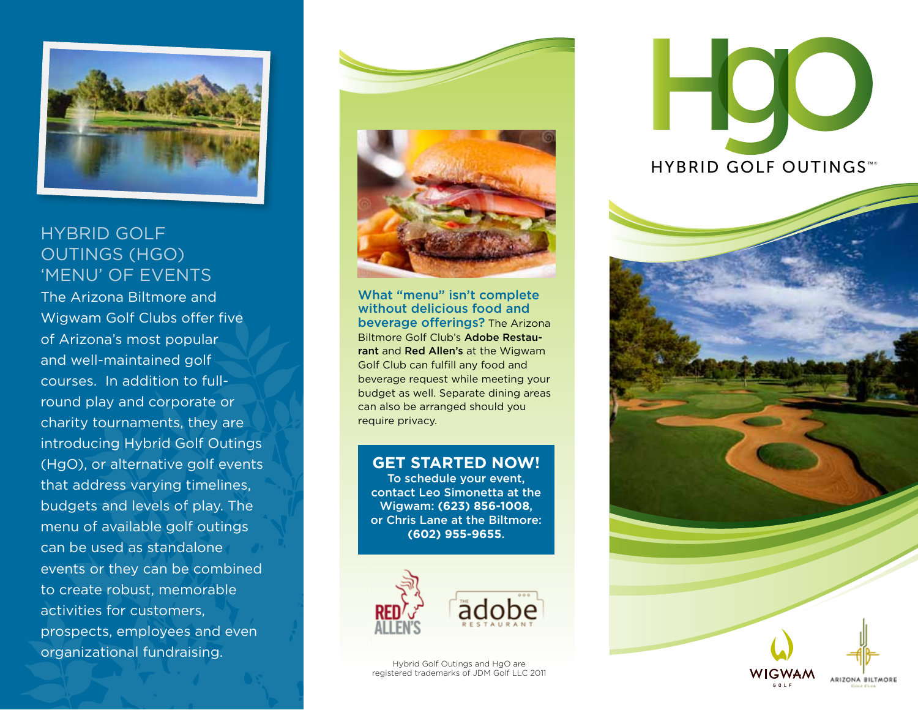

# Hybrid Golf Outings (HgO) 'Menu' of Events

The Arizona Biltmore and Wigwam Golf Clubs offer five of Arizona's most popular and well-maintained golf courses. In addition to fullround play and corporate or charity tournaments, they are introducing Hybrid Golf Outings (HgO), or alternative golf events that address varying timelines, budgets and levels of play. The menu of available golf outings can be used as standalone events or they can be combined to create robust, memorable activities for customers, prospects, employees and even organizational fundraising.



What "menu" isn't complete without delicious food and beverage offerings? The Arizona Biltmore Golf Club's Adobe Restaurant and Red Allen's at the Wigwam Golf Club can fulfill any food and beverage request while meeting your budget as well. Separate dining areas can also be arranged should you require privacy.

## **GET STARTED NOW!**

To schedule your event, contact Leo Simonetta at the Wigwam: **(623) 856-1008**, or Chris Lane at the Biltmore: **(602) 955-9655**.





Hybrid Golf Outings and HgO are registered trademarks of JDM Golf LLC 2011 HYBRID GOLF OUTINGS™